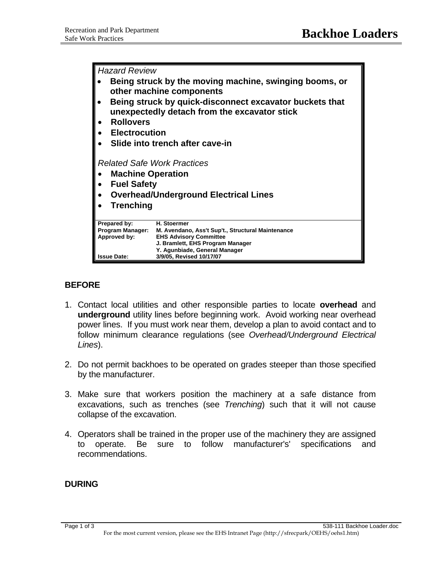*Hazard Review*  • **Being struck by the moving machine, swinging booms, or other machine components**  • **Being struck by quick-disconnect excavator buckets that unexpectedly detach from the excavator stick**  • **Rollovers**  • **Electrocution**  • **Slide into trench after cave-in**  *Related Safe Work Practices* • **Machine Operation** • **Fuel Safety**  • **Overhead/Underground Electrical Lines**  • **Trenching Prepared by: H. Stoermer M. Avendano, Ass't Sup't., Structural Maintenance Approved by: EHS Advisory Committee J. Bramlett, EHS Program Manager Y. Agunbiade, General Manager Issue Date: 3/9/05, Revised 10/17/07**

## **BEFORE**

- 1. Contact local utilities and other responsible parties to locate **overhead** and **underground** utility lines before beginning work. Avoid working near overhead power lines. If you must work near them, develop a plan to avoid contact and to follow minimum clearance regulations (see *Overhead/Underground Electrical Lines*).
- 2. Do not permit backhoes to be operated on grades steeper than those specified by the manufacturer.
- 3. Make sure that workers position the machinery at a safe distance from excavations, such as trenches (see *Trenching*) such that it will not cause collapse of the excavation.
- 4. Operators shall be trained in the proper use of the machinery they are assigned to operate. Be sure to follow manufacturer's' specifications and recommendations.

## **DURING**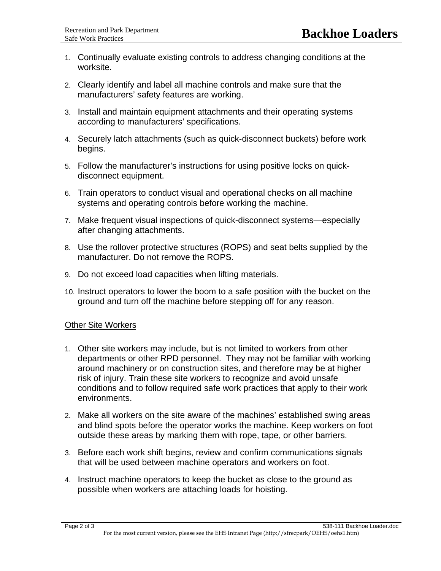- 1. Continually evaluate existing controls to address changing conditions at the worksite.
- 2. Clearly identify and label all machine controls and make sure that the manufacturers' safety features are working.
- 3. Install and maintain equipment attachments and their operating systems according to manufacturers' specifications.
- 4. Securely latch attachments (such as quick-disconnect buckets) before work begins.
- 5. Follow the manufacturer's instructions for using positive locks on quickdisconnect equipment.
- 6. Train operators to conduct visual and operational checks on all machine systems and operating controls before working the machine.
- 7. Make frequent visual inspections of quick-disconnect systems—especially after changing attachments.
- 8. Use the rollover protective structures (ROPS) and seat belts supplied by the manufacturer. Do not remove the ROPS.
- 9. Do not exceed load capacities when lifting materials.
- 10. Instruct operators to lower the boom to a safe position with the bucket on the ground and turn off the machine before stepping off for any reason.

## Other Site Workers

- 1. Other site workers may include, but is not limited to workers from other departments or other RPD personnel. They may not be familiar with working around machinery or on construction sites, and therefore may be at higher risk of injury. Train these site workers to recognize and avoid unsafe conditions and to follow required safe work practices that apply to their work environments.
- 2. Make all workers on the site aware of the machines' established swing areas and blind spots before the operator works the machine. Keep workers on foot outside these areas by marking them with rope, tape, or other barriers.
- 3. Before each work shift begins, review and confirm communications signals that will be used between machine operators and workers on foot.
- 4. Instruct machine operators to keep the bucket as close to the ground as possible when workers are attaching loads for hoisting.